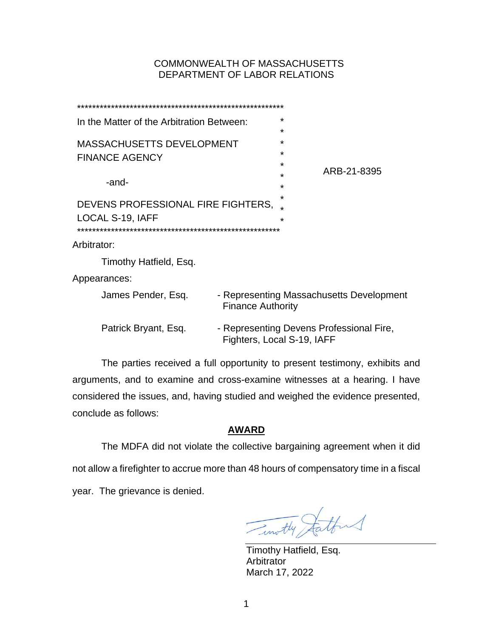# COMMONWEALTH OF MASSACHUSETTS DEPARTMENT OF LABOR RELATIONS

| In the Matter of the Arbitration Between:                 | $^\star$<br>$^\star$                                                   |
|-----------------------------------------------------------|------------------------------------------------------------------------|
| <b>MASSACHUSETTS DEVELOPMENT</b><br><b>FINANCE AGENCY</b> | ÷<br>$^\star$<br>÷                                                     |
| -and-                                                     | ARB-21-8395<br>*<br>÷                                                  |
| DEVENS PROFESSIONAL FIRE FIGHTERS,<br>LOCAL S-19, IAFF    | ÷<br>$\star$                                                           |
| Arbitrator:                                               |                                                                        |
| Timothy Hatfield, Esq.                                    |                                                                        |
| Appearances:                                              |                                                                        |
| James Pender, Esq.                                        | - Representing Massachusetts Development<br><b>Finance Authority</b>   |
| Patrick Bryant, Esq.                                      | - Representing Devens Professional Fire,<br>Fighters, Local S-19, IAFF |

The parties received a full opportunity to present testimony, exhibits and arguments, and to examine and cross-examine witnesses at a hearing. I have considered the issues, and, having studied and weighed the evidence presented, conclude as follows:

## **AWARD**

The MDFA did not violate the collective bargaining agreement when it did not allow a firefighter to accrue more than 48 hours of compensatory time in a fiscal year. The grievance is denied.

Timothy Stattens

Timothy Hatfield, Esq. **Arbitrator** March 17, 2022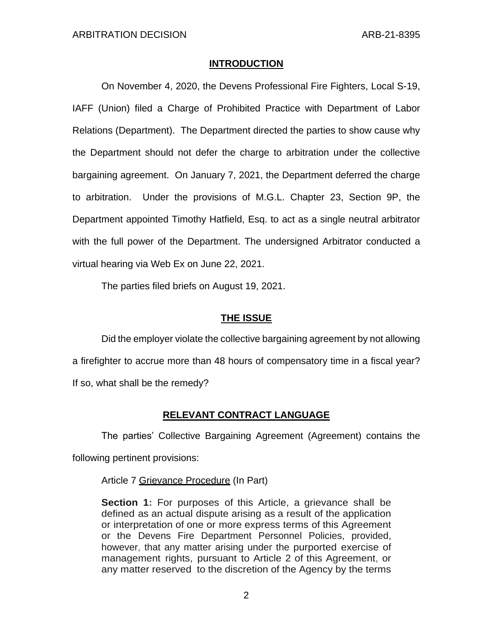### **INTRODUCTION**

On November 4, 2020, the Devens Professional Fire Fighters, Local S-19, IAFF (Union) filed a Charge of Prohibited Practice with Department of Labor Relations (Department). The Department directed the parties to show cause why the Department should not defer the charge to arbitration under the collective bargaining agreement. On January 7, 2021, the Department deferred the charge to arbitration. Under the provisions of M.G.L. Chapter 23, Section 9P, the Department appointed Timothy Hatfield, Esq. to act as a single neutral arbitrator with the full power of the Department. The undersigned Arbitrator conducted a virtual hearing via Web Ex on June 22, 2021.

The parties filed briefs on August 19, 2021.

## **THE ISSUE**

Did the employer violate the collective bargaining agreement by not allowing a firefighter to accrue more than 48 hours of compensatory time in a fiscal year? If so, what shall be the remedy?

# **RELEVANT CONTRACT LANGUAGE**

The parties' Collective Bargaining Agreement (Agreement) contains the following pertinent provisions:

Article 7 Grievance Procedure (In Part)

**Section 1:** For purposes of this Article, a grievance shall be defined as an actual dispute arising as a result of the application or interpretation of one or more express terms of this Agreement or the Devens Fire Department Personnel Policies, provided, however, that any matter arising under the purported exercise of management rights, pursuant to Article 2 of this Agreement, or any matter reserved to the discretion of the Agency by the terms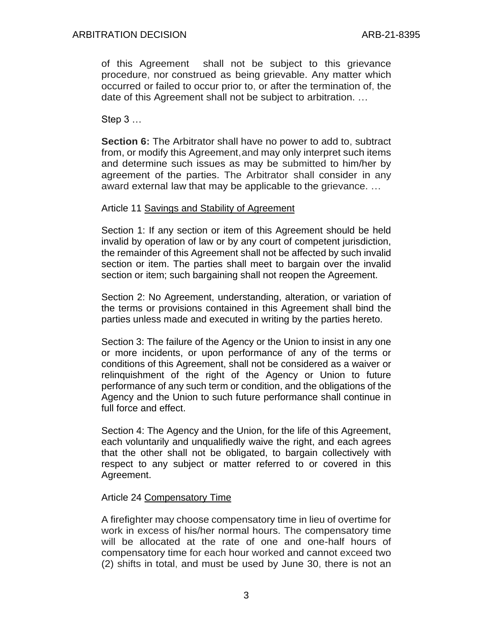of this Agreement shall not be subject to this grievance procedure, nor construed as being grievable. Any matter which occurred or failed to occur prior to, or after the termination of, the date of this Agreement shall not be subject to arbitration. …

Step 3 …

**Section 6:** The Arbitrator shall have no power to add to, subtract from, or modify this Agreement,and may only interpret such items and determine such issues as may be submitted to him/her by agreement of the parties. The Arbitrator shall consider in any award external law that may be applicable to the grievance. …

## Article 11 Savings and Stability of Agreement

Section 1: If any section or item of this Agreement should be held invalid by operation of law or by any court of competent jurisdiction, the remainder of this Agreement shall not be affected by such invalid section or item. The parties shall meet to bargain over the invalid section or item; such bargaining shall not reopen the Agreement.

Section 2: No Agreement, understanding, alteration, or variation of the terms or provisions contained in this Agreement shall bind the parties unless made and executed in writing by the parties hereto.

Section 3: The failure of the Agency or the Union to insist in any one or more incidents, or upon performance of any of the terms or conditions of this Agreement, shall not be considered as a waiver or relinquishment of the right of the Agency or Union to future performance of any such term or condition, and the obligations of the Agency and the Union to such future performance shall continue in full force and effect.

Section 4: The Agency and the Union, for the life of this Agreement, each voluntarily and unqualifiedly waive the right, and each agrees that the other shall not be obligated, to bargain collectively with respect to any subject or matter referred to or covered in this Agreement.

# Article 24 Compensatory Time

A firefighter may choose compensatory time in lieu of overtime for work in excess of his/her normal hours. The compensatory time will be allocated at the rate of one and one-half hours of compensatory time for each hour worked and cannot exceed two (2) shifts in total, and must be used by June 30, there is not an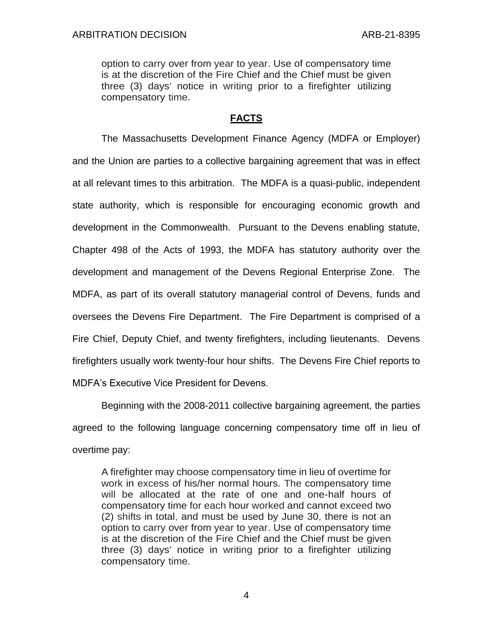option to carry over from year to year. Use of compensatory time is at the discretion of the Fire Chief and the Chief must be given three (3) days' notice in writing prior to a firefighter utilizing compensatory time.

## **FACTS**

The Massachusetts Development Finance Agency (MDFA or Employer) and the Union are parties to a collective bargaining agreement that was in effect at all relevant times to this arbitration. The MDFA is a quasi-public, independent state authority, which is responsible for encouraging economic growth and development in the Commonwealth. Pursuant to the Devens enabling statute, Chapter 498 of the Acts of 1993, the MDFA has statutory authority over the development and management of the Devens Regional Enterprise Zone. The MDFA, as part of its overall statutory managerial control of Devens, funds and oversees the Devens Fire Department. The Fire Department is comprised of a Fire Chief, Deputy Chief, and twenty firefighters, including lieutenants. Devens firefighters usually work twenty-four hour shifts. The Devens Fire Chief reports to MDFA's Executive Vice President for Devens.

Beginning with the 2008-2011 collective bargaining agreement, the parties agreed to the following language concerning compensatory time off in lieu of overtime pay:

A firefighter may choose compensatory time in lieu of overtime for work in excess of his/her normal hours. The compensatory time will be allocated at the rate of one and one-half hours of compensatory time for each hour worked and cannot exceed two (2) shifts in total, and must be used by June 30, there is not an option to carry over from year to year. Use of compensatory time is at the discretion of the Fire Chief and the Chief must be given three (3) days' notice in writing prior to a firefighter utilizing compensatory time.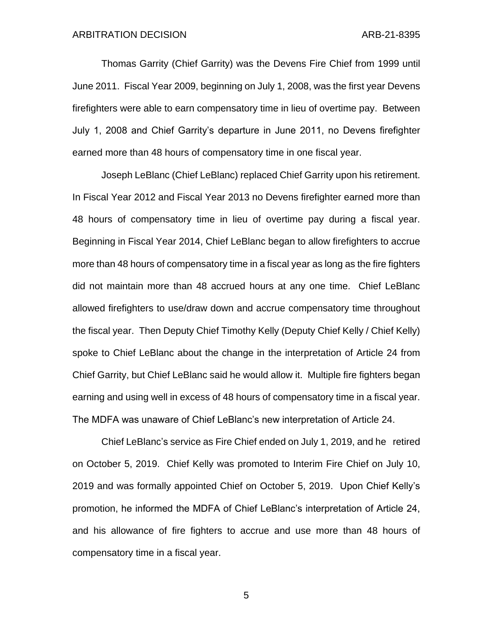Thomas Garrity (Chief Garrity) was the Devens Fire Chief from 1999 until June 2011. Fiscal Year 2009, beginning on July 1, 2008, was the first year Devens firefighters were able to earn compensatory time in lieu of overtime pay. Between July 1, 2008 and Chief Garrity's departure in June 2011, no Devens firefighter earned more than 48 hours of compensatory time in one fiscal year.

Joseph LeBlanc (Chief LeBlanc) replaced Chief Garrity upon his retirement. In Fiscal Year 2012 and Fiscal Year 2013 no Devens firefighter earned more than 48 hours of compensatory time in lieu of overtime pay during a fiscal year. Beginning in Fiscal Year 2014, Chief LeBlanc began to allow firefighters to accrue more than 48 hours of compensatory time in a fiscal year as long as the fire fighters did not maintain more than 48 accrued hours at any one time. Chief LeBlanc allowed firefighters to use/draw down and accrue compensatory time throughout the fiscal year. Then Deputy Chief Timothy Kelly (Deputy Chief Kelly / Chief Kelly) spoke to Chief LeBlanc about the change in the interpretation of Article 24 from Chief Garrity, but Chief LeBlanc said he would allow it. Multiple fire fighters began earning and using well in excess of 48 hours of compensatory time in a fiscal year. The MDFA was unaware of Chief LeBlanc's new interpretation of Article 24.

Chief LeBlanc's service as Fire Chief ended on July 1, 2019, and he retired on October 5, 2019. Chief Kelly was promoted to Interim Fire Chief on July 10, 2019 and was formally appointed Chief on October 5, 2019. Upon Chief Kelly's promotion, he informed the MDFA of Chief LeBlanc's interpretation of Article 24, and his allowance of fire fighters to accrue and use more than 48 hours of compensatory time in a fiscal year.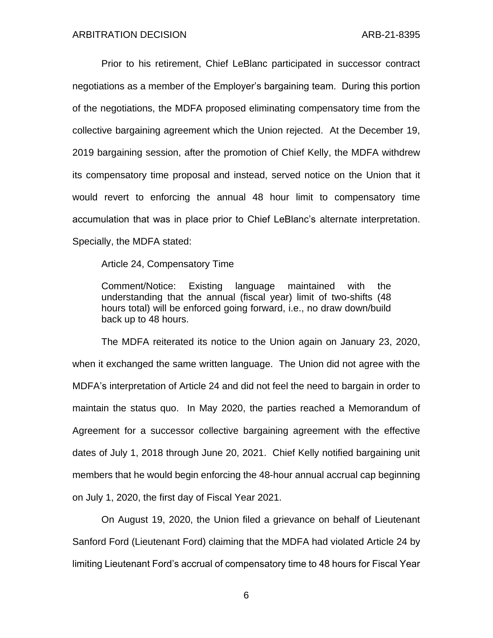Prior to his retirement, Chief LeBlanc participated in successor contract negotiations as a member of the Employer's bargaining team. During this portion of the negotiations, the MDFA proposed eliminating compensatory time from the collective bargaining agreement which the Union rejected. At the December 19, 2019 bargaining session, after the promotion of Chief Kelly, the MDFA withdrew its compensatory time proposal and instead, served notice on the Union that it would revert to enforcing the annual 48 hour limit to compensatory time accumulation that was in place prior to Chief LeBlanc's alternate interpretation. Specially, the MDFA stated:

Article 24, Compensatory Time

Comment/Notice: Existing language maintained with the understanding that the annual (fiscal year) limit of two-shifts (48 hours total) will be enforced going forward, i.e., no draw down/build back up to 48 hours.

The MDFA reiterated its notice to the Union again on January 23, 2020, when it exchanged the same written language. The Union did not agree with the MDFA's interpretation of Article 24 and did not feel the need to bargain in order to maintain the status quo. In May 2020, the parties reached a Memorandum of Agreement for a successor collective bargaining agreement with the effective dates of July 1, 2018 through June 20, 2021. Chief Kelly notified bargaining unit members that he would begin enforcing the 48-hour annual accrual cap beginning on July 1, 2020, the first day of Fiscal Year 2021.

On August 19, 2020, the Union filed a grievance on behalf of Lieutenant Sanford Ford (Lieutenant Ford) claiming that the MDFA had violated Article 24 by limiting Lieutenant Ford's accrual of compensatory time to 48 hours for Fiscal Year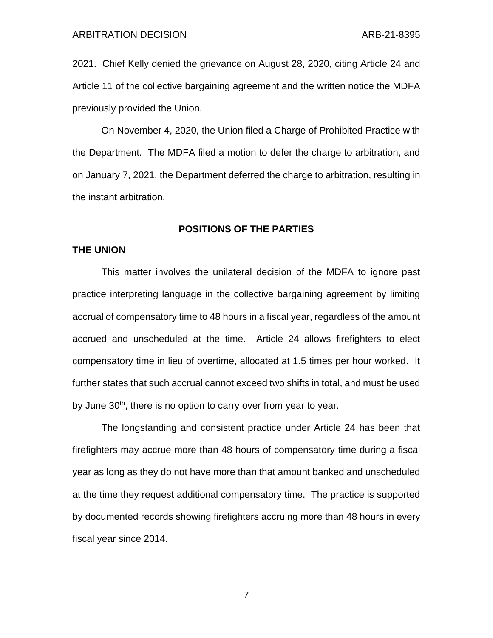2021. Chief Kelly denied the grievance on August 28, 2020, citing Article 24 and Article 11 of the collective bargaining agreement and the written notice the MDFA previously provided the Union.

On November 4, 2020, the Union filed a Charge of Prohibited Practice with the Department. The MDFA filed a motion to defer the charge to arbitration, and on January 7, 2021, the Department deferred the charge to arbitration, resulting in the instant arbitration.

### **POSITIONS OF THE PARTIES**

### **THE UNION**

This matter involves the unilateral decision of the MDFA to ignore past practice interpreting language in the collective bargaining agreement by limiting accrual of compensatory time to 48 hours in a fiscal year, regardless of the amount accrued and unscheduled at the time. Article 24 allows firefighters to elect compensatory time in lieu of overtime, allocated at 1.5 times per hour worked. It further states that such accrual cannot exceed two shifts in total, and must be used by June 30<sup>th</sup>, there is no option to carry over from year to year.

The longstanding and consistent practice under Article 24 has been that firefighters may accrue more than 48 hours of compensatory time during a fiscal year as long as they do not have more than that amount banked and unscheduled at the time they request additional compensatory time. The practice is supported by documented records showing firefighters accruing more than 48 hours in every fiscal year since 2014.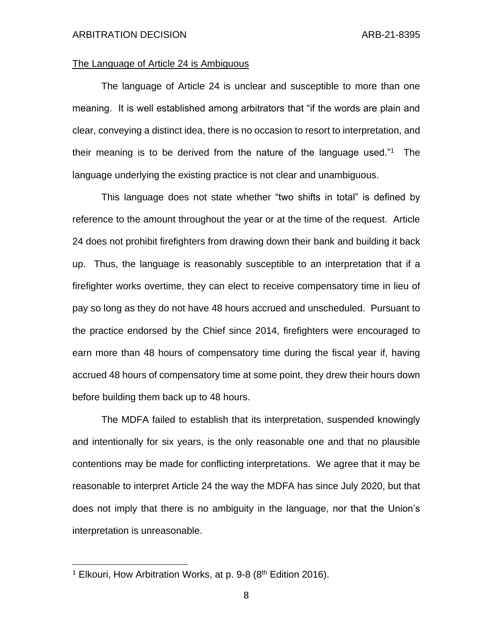### The Language of Article 24 is Ambiguous

The language of Article 24 is unclear and susceptible to more than one meaning. It is well established among arbitrators that "if the words are plain and clear, conveying a distinct idea, there is no occasion to resort to interpretation, and their meaning is to be derived from the nature of the language used."<sup>1</sup> The language underlying the existing practice is not clear and unambiguous.

This language does not state whether "two shifts in total" is defined by reference to the amount throughout the year or at the time of the request. Article 24 does not prohibit firefighters from drawing down their bank and building it back up. Thus, the language is reasonably susceptible to an interpretation that if a firefighter works overtime, they can elect to receive compensatory time in lieu of pay so long as they do not have 48 hours accrued and unscheduled. Pursuant to the practice endorsed by the Chief since 2014, firefighters were encouraged to earn more than 48 hours of compensatory time during the fiscal year if, having accrued 48 hours of compensatory time at some point, they drew their hours down before building them back up to 48 hours.

The MDFA failed to establish that its interpretation, suspended knowingly and intentionally for six years, is the only reasonable one and that no plausible contentions may be made for conflicting interpretations. We agree that it may be reasonable to interpret Article 24 the way the MDFA has since July 2020, but that does not imply that there is no ambiguity in the language, nor that the Union's interpretation is unreasonable.

<sup>&</sup>lt;sup>1</sup> Elkouri, How Arbitration Works, at p. 9-8 (8<sup>th</sup> Edition 2016).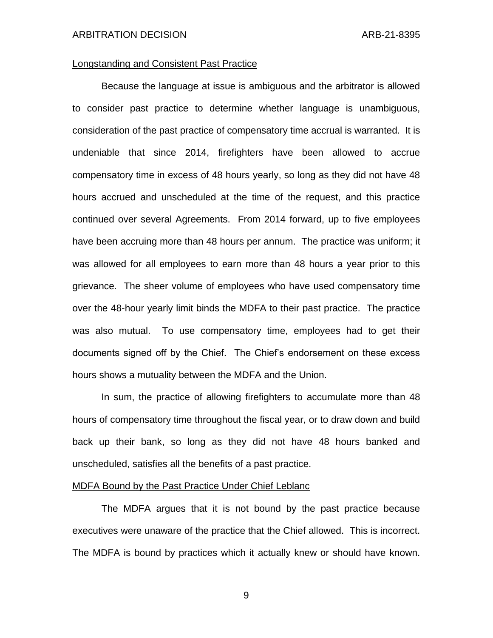### Longstanding and Consistent Past Practice

Because the language at issue is ambiguous and the arbitrator is allowed to consider past practice to determine whether language is unambiguous, consideration of the past practice of compensatory time accrual is warranted. It is undeniable that since 2014, firefighters have been allowed to accrue compensatory time in excess of 48 hours yearly, so long as they did not have 48 hours accrued and unscheduled at the time of the request, and this practice continued over several Agreements. From 2014 forward, up to five employees have been accruing more than 48 hours per annum. The practice was uniform; it was allowed for all employees to earn more than 48 hours a year prior to this grievance. The sheer volume of employees who have used compensatory time over the 48-hour yearly limit binds the MDFA to their past practice. The practice was also mutual. To use compensatory time, employees had to get their documents signed off by the Chief. The Chief's endorsement on these excess hours shows a mutuality between the MDFA and the Union.

In sum, the practice of allowing firefighters to accumulate more than 48 hours of compensatory time throughout the fiscal year, or to draw down and build back up their bank, so long as they did not have 48 hours banked and unscheduled, satisfies all the benefits of a past practice.

#### MDFA Bound by the Past Practice Under Chief Leblanc

The MDFA argues that it is not bound by the past practice because executives were unaware of the practice that the Chief allowed. This is incorrect. The MDFA is bound by practices which it actually knew or should have known.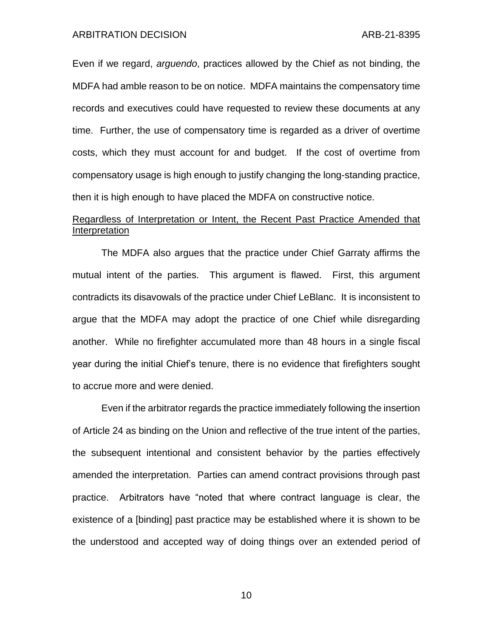Even if we regard, *arguendo*, practices allowed by the Chief as not binding, the MDFA had amble reason to be on notice. MDFA maintains the compensatory time records and executives could have requested to review these documents at any time. Further, the use of compensatory time is regarded as a driver of overtime costs, which they must account for and budget. If the cost of overtime from compensatory usage is high enough to justify changing the long-standing practice, then it is high enough to have placed the MDFA on constructive notice.

# Regardless of Interpretation or Intent, the Recent Past Practice Amended that Interpretation

The MDFA also argues that the practice under Chief Garraty affirms the mutual intent of the parties. This argument is flawed. First, this argument contradicts its disavowals of the practice under Chief LeBlanc. It is inconsistent to argue that the MDFA may adopt the practice of one Chief while disregarding another. While no firefighter accumulated more than 48 hours in a single fiscal year during the initial Chief's tenure, there is no evidence that firefighters sought to accrue more and were denied.

Even if the arbitrator regards the practice immediately following the insertion of Article 24 as binding on the Union and reflective of the true intent of the parties, the subsequent intentional and consistent behavior by the parties effectively amended the interpretation. Parties can amend contract provisions through past practice. Arbitrators have "noted that where contract language is clear, the existence of a [binding] past practice may be established where it is shown to be the understood and accepted way of doing things over an extended period of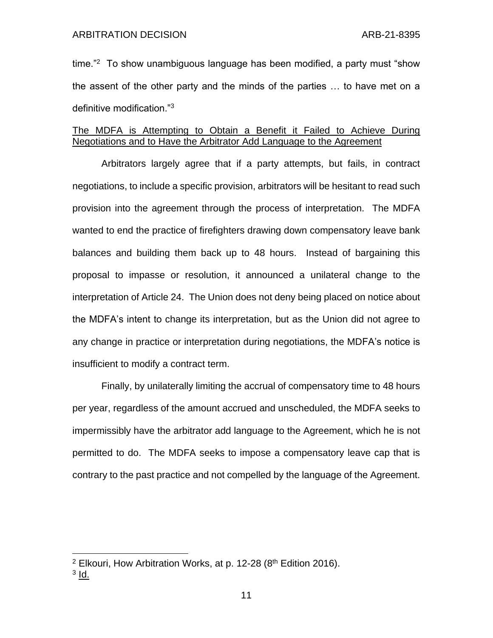time."<sup>2</sup> To show unambiguous language has been modified, a party must "show the assent of the other party and the minds of the parties … to have met on a definitive modification."<sup>3</sup>

## The MDFA is Attempting to Obtain a Benefit it Failed to Achieve During Negotiations and to Have the Arbitrator Add Language to the Agreement

Arbitrators largely agree that if a party attempts, but fails, in contract negotiations, to include a specific provision, arbitrators will be hesitant to read such provision into the agreement through the process of interpretation. The MDFA wanted to end the practice of firefighters drawing down compensatory leave bank balances and building them back up to 48 hours. Instead of bargaining this proposal to impasse or resolution, it announced a unilateral change to the interpretation of Article 24. The Union does not deny being placed on notice about the MDFA's intent to change its interpretation, but as the Union did not agree to any change in practice or interpretation during negotiations, the MDFA's notice is insufficient to modify a contract term.

Finally, by unilaterally limiting the accrual of compensatory time to 48 hours per year, regardless of the amount accrued and unscheduled, the MDFA seeks to impermissibly have the arbitrator add language to the Agreement, which he is not permitted to do. The MDFA seeks to impose a compensatory leave cap that is contrary to the past practice and not compelled by the language of the Agreement.

<sup>&</sup>lt;sup>2</sup> Elkouri, How Arbitration Works, at p. 12-28 ( $8<sup>th</sup>$  Edition 2016).

<sup>&</sup>lt;sup>3</sup> <u>Id.</u>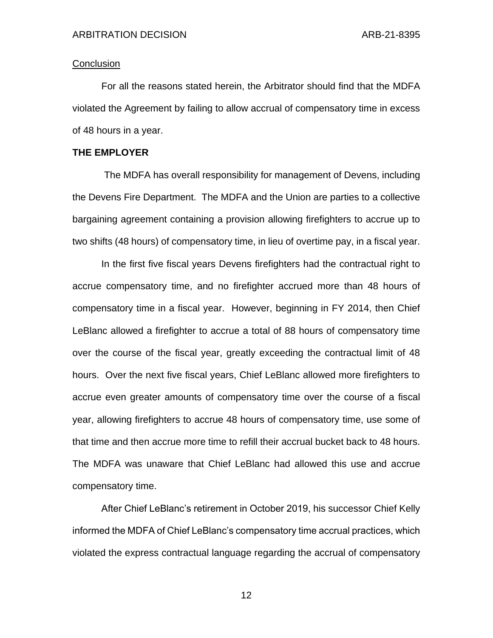### **Conclusion**

For all the reasons stated herein, the Arbitrator should find that the MDFA violated the Agreement by failing to allow accrual of compensatory time in excess of 48 hours in a year.

### **THE EMPLOYER**

The MDFA has overall responsibility for management of Devens, including the Devens Fire Department. The MDFA and the Union are parties to a collective bargaining agreement containing a provision allowing firefighters to accrue up to two shifts (48 hours) of compensatory time, in lieu of overtime pay, in a fiscal year.

In the first five fiscal years Devens firefighters had the contractual right to accrue compensatory time, and no firefighter accrued more than 48 hours of compensatory time in a fiscal year. However, beginning in FY 2014, then Chief LeBlanc allowed a firefighter to accrue a total of 88 hours of compensatory time over the course of the fiscal year, greatly exceeding the contractual limit of 48 hours. Over the next five fiscal years, Chief LeBlanc allowed more firefighters to accrue even greater amounts of compensatory time over the course of a fiscal year, allowing firefighters to accrue 48 hours of compensatory time, use some of that time and then accrue more time to refill their accrual bucket back to 48 hours. The MDFA was unaware that Chief LeBlanc had allowed this use and accrue compensatory time.

After Chief LeBlanc's retirement in October 2019, his successor Chief Kelly informed the MDFA of Chief LeBlanc's compensatory time accrual practices, which violated the express contractual language regarding the accrual of compensatory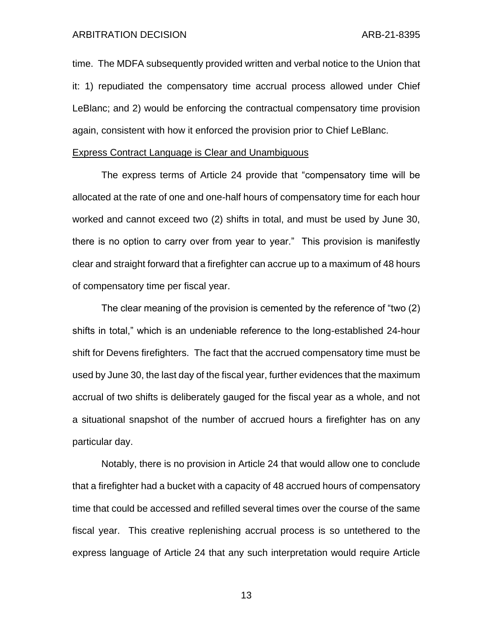time. The MDFA subsequently provided written and verbal notice to the Union that it: 1) repudiated the compensatory time accrual process allowed under Chief LeBlanc; and 2) would be enforcing the contractual compensatory time provision again, consistent with how it enforced the provision prior to Chief LeBlanc.

#### Express Contract Language is Clear and Unambiguous

The express terms of Article 24 provide that "compensatory time will be allocated at the rate of one and one-half hours of compensatory time for each hour worked and cannot exceed two (2) shifts in total, and must be used by June 30, there is no option to carry over from year to year." This provision is manifestly clear and straight forward that a firefighter can accrue up to a maximum of 48 hours of compensatory time per fiscal year.

The clear meaning of the provision is cemented by the reference of "two (2) shifts in total," which is an undeniable reference to the long-established 24-hour shift for Devens firefighters. The fact that the accrued compensatory time must be used by June 30, the last day of the fiscal year, further evidences that the maximum accrual of two shifts is deliberately gauged for the fiscal year as a whole, and not a situational snapshot of the number of accrued hours a firefighter has on any particular day.

Notably, there is no provision in Article 24 that would allow one to conclude that a firefighter had a bucket with a capacity of 48 accrued hours of compensatory time that could be accessed and refilled several times over the course of the same fiscal year. This creative replenishing accrual process is so untethered to the express language of Article 24 that any such interpretation would require Article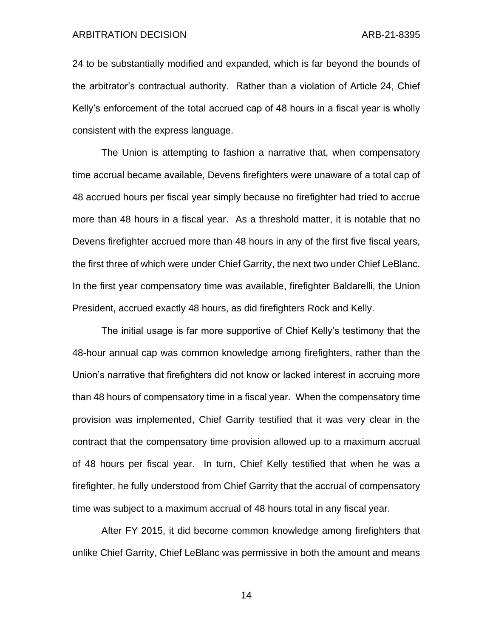24 to be substantially modified and expanded, which is far beyond the bounds of the arbitrator's contractual authority. Rather than a violation of Article 24, Chief Kelly's enforcement of the total accrued cap of 48 hours in a fiscal year is wholly consistent with the express language.

The Union is attempting to fashion a narrative that, when compensatory time accrual became available, Devens firefighters were unaware of a total cap of 48 accrued hours per fiscal year simply because no firefighter had tried to accrue more than 48 hours in a fiscal year. As a threshold matter, it is notable that no Devens firefighter accrued more than 48 hours in any of the first five fiscal years, the first three of which were under Chief Garrity, the next two under Chief LeBlanc. In the first year compensatory time was available, firefighter Baldarelli, the Union President, accrued exactly 48 hours, as did firefighters Rock and Kelly.

The initial usage is far more supportive of Chief Kelly's testimony that the 48-hour annual cap was common knowledge among firefighters, rather than the Union's narrative that firefighters did not know or lacked interest in accruing more than 48 hours of compensatory time in a fiscal year. When the compensatory time provision was implemented, Chief Garrity testified that it was very clear in the contract that the compensatory time provision allowed up to a maximum accrual of 48 hours per fiscal year. In turn, Chief Kelly testified that when he was a firefighter, he fully understood from Chief Garrity that the accrual of compensatory time was subject to a maximum accrual of 48 hours total in any fiscal year.

After FY 2015, it did become common knowledge among firefighters that unlike Chief Garrity, Chief LeBlanc was permissive in both the amount and means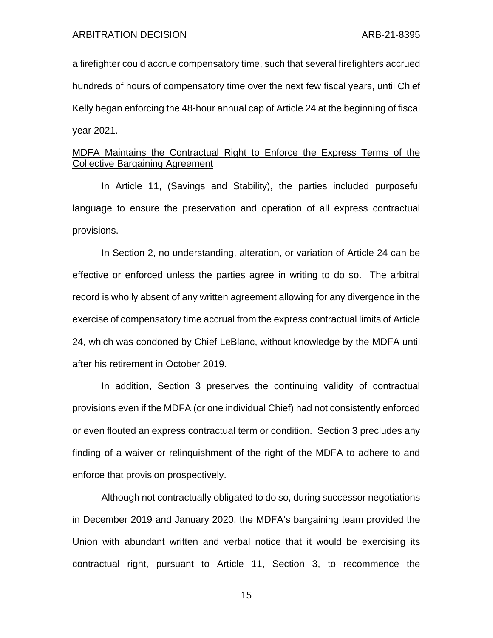a firefighter could accrue compensatory time, such that several firefighters accrued hundreds of hours of compensatory time over the next few fiscal years, until Chief Kelly began enforcing the 48-hour annual cap of Article 24 at the beginning of fiscal year 2021.

# MDFA Maintains the Contractual Right to Enforce the Express Terms of the Collective Bargaining Agreement

In Article 11, (Savings and Stability), the parties included purposeful language to ensure the preservation and operation of all express contractual provisions.

In Section 2, no understanding, alteration, or variation of Article 24 can be effective or enforced unless the parties agree in writing to do so. The arbitral record is wholly absent of any written agreement allowing for any divergence in the exercise of compensatory time accrual from the express contractual limits of Article 24, which was condoned by Chief LeBlanc, without knowledge by the MDFA until after his retirement in October 2019.

In addition, Section 3 preserves the continuing validity of contractual provisions even if the MDFA (or one individual Chief) had not consistently enforced or even flouted an express contractual term or condition. Section 3 precludes any finding of a waiver or relinquishment of the right of the MDFA to adhere to and enforce that provision prospectively.

Although not contractually obligated to do so, during successor negotiations in December 2019 and January 2020, the MDFA's bargaining team provided the Union with abundant written and verbal notice that it would be exercising its contractual right, pursuant to Article 11, Section 3, to recommence the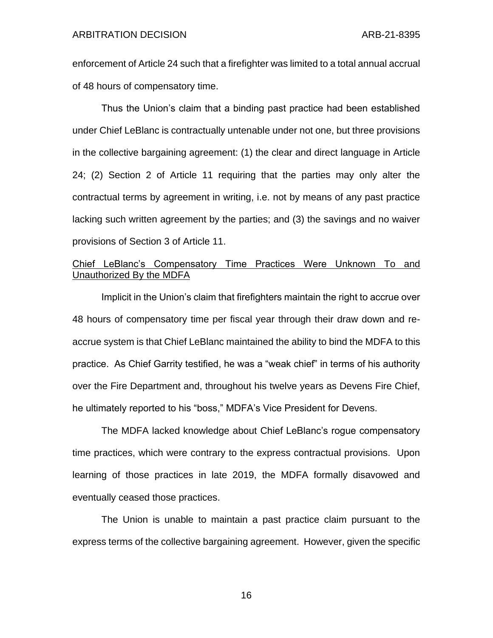enforcement of Article 24 such that a firefighter was limited to a total annual accrual of 48 hours of compensatory time.

Thus the Union's claim that a binding past practice had been established under Chief LeBlanc is contractually untenable under not one, but three provisions in the collective bargaining agreement: (1) the clear and direct language in Article 24; (2) Section 2 of Article 11 requiring that the parties may only alter the contractual terms by agreement in writing, i.e. not by means of any past practice lacking such written agreement by the parties; and (3) the savings and no waiver provisions of Section 3 of Article 11.

# Chief LeBlanc's Compensatory Time Practices Were Unknown To and Unauthorized By the MDFA

Implicit in the Union's claim that firefighters maintain the right to accrue over 48 hours of compensatory time per fiscal year through their draw down and reaccrue system is that Chief LeBlanc maintained the ability to bind the MDFA to this practice. As Chief Garrity testified, he was a "weak chief" in terms of his authority over the Fire Department and, throughout his twelve years as Devens Fire Chief, he ultimately reported to his "boss," MDFA's Vice President for Devens.

The MDFA lacked knowledge about Chief LeBlanc's rogue compensatory time practices, which were contrary to the express contractual provisions. Upon learning of those practices in late 2019, the MDFA formally disavowed and eventually ceased those practices.

The Union is unable to maintain a past practice claim pursuant to the express terms of the collective bargaining agreement. However, given the specific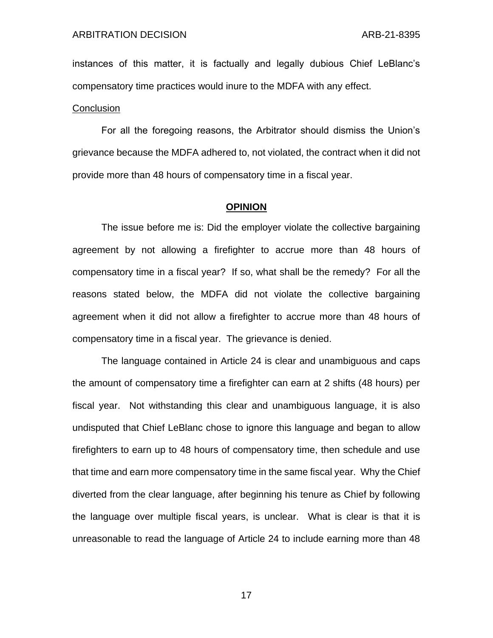instances of this matter, it is factually and legally dubious Chief LeBlanc's compensatory time practices would inure to the MDFA with any effect.

#### **Conclusion**

For all the foregoing reasons, the Arbitrator should dismiss the Union's grievance because the MDFA adhered to, not violated, the contract when it did not provide more than 48 hours of compensatory time in a fiscal year.

#### **OPINION**

The issue before me is: Did the employer violate the collective bargaining agreement by not allowing a firefighter to accrue more than 48 hours of compensatory time in a fiscal year? If so, what shall be the remedy? For all the reasons stated below, the MDFA did not violate the collective bargaining agreement when it did not allow a firefighter to accrue more than 48 hours of compensatory time in a fiscal year. The grievance is denied.

The language contained in Article 24 is clear and unambiguous and caps the amount of compensatory time a firefighter can earn at 2 shifts (48 hours) per fiscal year. Not withstanding this clear and unambiguous language, it is also undisputed that Chief LeBlanc chose to ignore this language and began to allow firefighters to earn up to 48 hours of compensatory time, then schedule and use that time and earn more compensatory time in the same fiscal year. Why the Chief diverted from the clear language, after beginning his tenure as Chief by following the language over multiple fiscal years, is unclear. What is clear is that it is unreasonable to read the language of Article 24 to include earning more than 48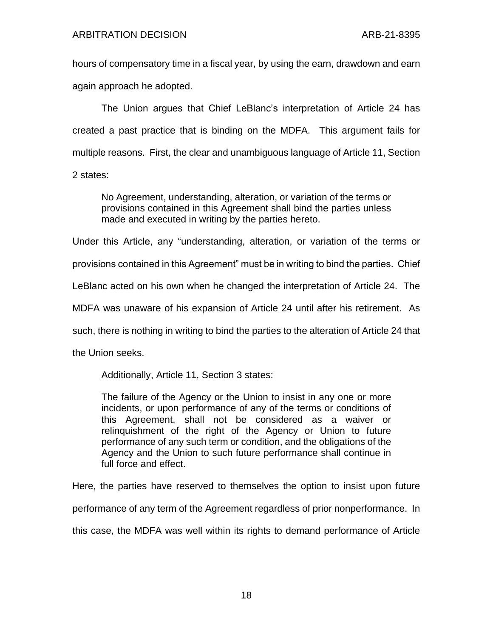hours of compensatory time in a fiscal year, by using the earn, drawdown and earn again approach he adopted.

The Union argues that Chief LeBlanc's interpretation of Article 24 has created a past practice that is binding on the MDFA. This argument fails for multiple reasons. First, the clear and unambiguous language of Article 11, Section

2 states:

No Agreement, understanding, alteration, or variation of the terms or provisions contained in this Agreement shall bind the parties unless made and executed in writing by the parties hereto.

Under this Article, any "understanding, alteration, or variation of the terms or

provisions contained in this Agreement" must be in writing to bind the parties. Chief

LeBlanc acted on his own when he changed the interpretation of Article 24. The

MDFA was unaware of his expansion of Article 24 until after his retirement. As

such, there is nothing in writing to bind the parties to the alteration of Article 24 that

the Union seeks.

Additionally, Article 11, Section 3 states:

The failure of the Agency or the Union to insist in any one or more incidents, or upon performance of any of the terms or conditions of this Agreement, shall not be considered as a waiver or relinquishment of the right of the Agency or Union to future performance of any such term or condition, and the obligations of the Agency and the Union to such future performance shall continue in full force and effect.

Here, the parties have reserved to themselves the option to insist upon future

performance of any term of the Agreement regardless of prior nonperformance. In

this case, the MDFA was well within its rights to demand performance of Article